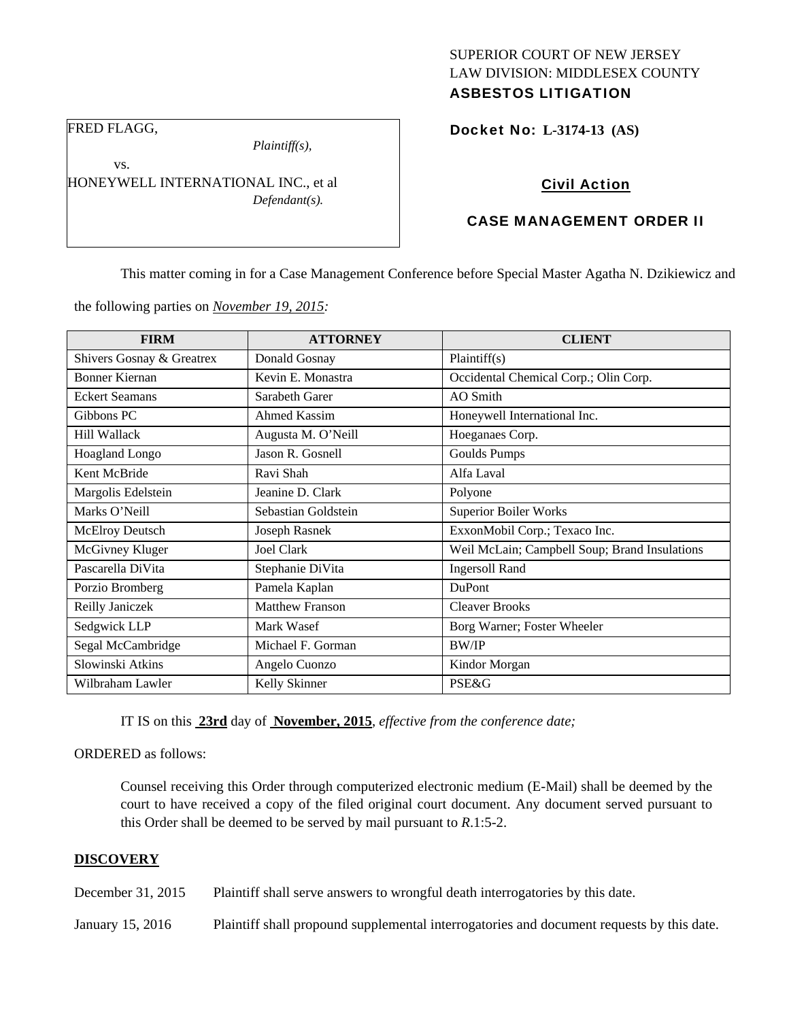# SUPERIOR COURT OF NEW JERSEY LAW DIVISION: MIDDLESEX COUNTY ASBESTOS LITIGATION

FRED FLAGG,

vs.

*Plaintiff(s),* 

HONEYWELL INTERNATIONAL INC., et al *Defendant(s).* 

Docket No: **L-3174-13 (AS)** 

# CASE MANAGEMENT ORDER II

Civil Action

This matter coming in for a Case Management Conference before Special Master Agatha N. Dzikiewicz and

the following parties on *November 19, 2015:* 

| <b>FIRM</b>               | <b>ATTORNEY</b>        | <b>CLIENT</b>                                 |
|---------------------------|------------------------|-----------------------------------------------|
| Shivers Gosnay & Greatrex | Donald Gosnay          | Plaintiff(s)                                  |
| Bonner Kiernan            | Kevin E. Monastra      | Occidental Chemical Corp.; Olin Corp.         |
| <b>Eckert Seamans</b>     | Sarabeth Garer         | AO Smith                                      |
| Gibbons PC                | <b>Ahmed Kassim</b>    | Honeywell International Inc.                  |
| <b>Hill Wallack</b>       | Augusta M. O'Neill     | Hoeganaes Corp.                               |
| <b>Hoagland Longo</b>     | Jason R. Gosnell       | Goulds Pumps                                  |
| Kent McBride              | Ravi Shah              | Alfa Laval                                    |
| Margolis Edelstein        | Jeanine D. Clark       | Polyone                                       |
| Marks O'Neill             | Sebastian Goldstein    | <b>Superior Boiler Works</b>                  |
| McElroy Deutsch           | Joseph Rasnek          | ExxonMobil Corp.; Texaco Inc.                 |
| McGivney Kluger           | <b>Joel Clark</b>      | Weil McLain; Campbell Soup; Brand Insulations |
| Pascarella DiVita         | Stephanie DiVita       | <b>Ingersoll Rand</b>                         |
| Porzio Bromberg           | Pamela Kaplan          | DuPont                                        |
| Reilly Janiczek           | <b>Matthew Franson</b> | <b>Cleaver Brooks</b>                         |
| Sedgwick LLP              | Mark Wasef             | Borg Warner; Foster Wheeler                   |
| Segal McCambridge         | Michael F. Gorman      | BW/IP                                         |
| Slowinski Atkins          | Angelo Cuonzo          | Kindor Morgan                                 |
| Wilbraham Lawler          | Kelly Skinner          | <b>PSE&amp;G</b>                              |

IT IS on this **23rd** day of **November, 2015**, *effective from the conference date;*

ORDERED as follows:

Counsel receiving this Order through computerized electronic medium (E-Mail) shall be deemed by the court to have received a copy of the filed original court document. Any document served pursuant to this Order shall be deemed to be served by mail pursuant to *R*.1:5-2.

#### **DISCOVERY**

December 31, 2015 Plaintiff shall serve answers to wrongful death interrogatories by this date.

January 15, 2016 Plaintiff shall propound supplemental interrogatories and document requests by this date.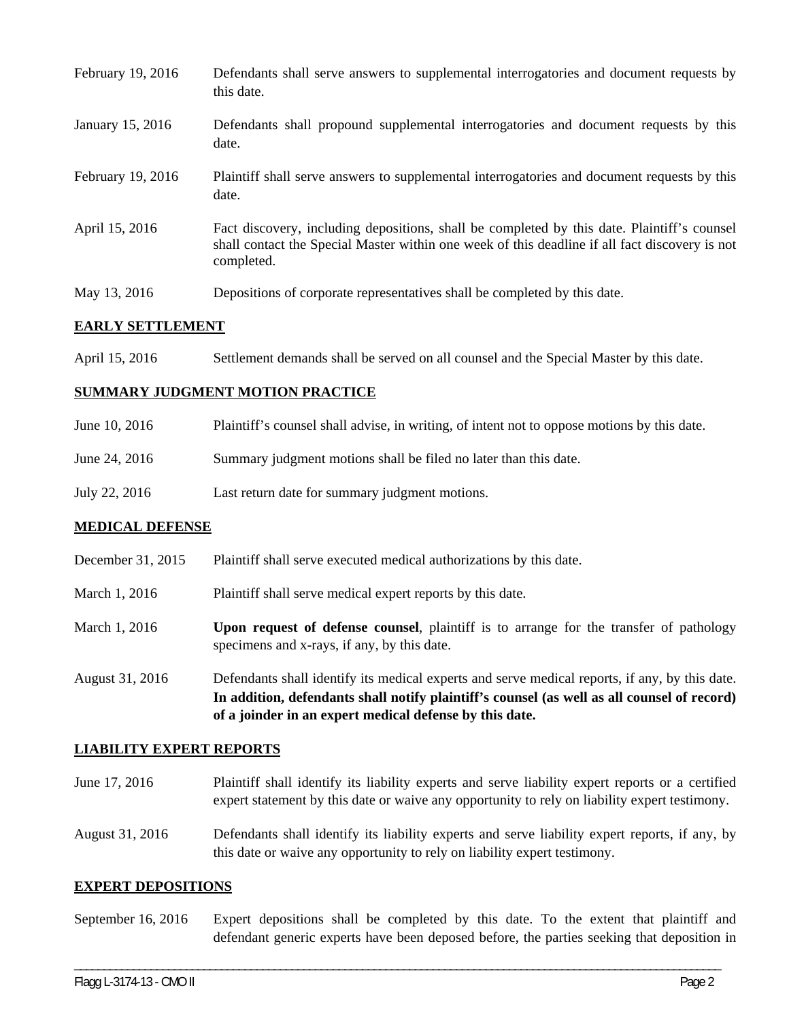| February 19, 2016 | Defendants shall serve answers to supplemental interrogatories and document requests by<br>this date.                                                                                                       |
|-------------------|-------------------------------------------------------------------------------------------------------------------------------------------------------------------------------------------------------------|
| January 15, 2016  | Defendants shall propound supplemental interrogatories and document requests by this<br>date.                                                                                                               |
| February 19, 2016 | Plaintiff shall serve answers to supplemental interrogatories and document requests by this<br>date.                                                                                                        |
| April 15, 2016    | Fact discovery, including depositions, shall be completed by this date. Plaintiff's counsel<br>shall contact the Special Master within one week of this deadline if all fact discovery is not<br>completed. |
| May 13, 2016      | Depositions of corporate representatives shall be completed by this date.                                                                                                                                   |

### **EARLY SETTLEMENT**

April 15, 2016 Settlement demands shall be served on all counsel and the Special Master by this date.

### **SUMMARY JUDGMENT MOTION PRACTICE**

| June 10, 2016 | Plaintiff's counsel shall advise, in writing, of intent not to oppose motions by this date. |
|---------------|---------------------------------------------------------------------------------------------|
| June 24, 2016 | Summary judgment motions shall be filed no later than this date.                            |
| July 22, 2016 | Last return date for summary judgment motions.                                              |

## **MEDICAL DEFENSE**

- December 31, 2015 Plaintiff shall serve executed medical authorizations by this date.
- March 1, 2016 Plaintiff shall serve medical expert reports by this date.
- March 1, 2016 **Upon request of defense counsel**, plaintiff is to arrange for the transfer of pathology specimens and x-rays, if any, by this date.
- August 31, 2016 Defendants shall identify its medical experts and serve medical reports, if any, by this date. **In addition, defendants shall notify plaintiff's counsel (as well as all counsel of record) of a joinder in an expert medical defense by this date.**

#### **LIABILITY EXPERT REPORTS**

- June 17, 2016 Plaintiff shall identify its liability experts and serve liability expert reports or a certified expert statement by this date or waive any opportunity to rely on liability expert testimony.
- August 31, 2016 Defendants shall identify its liability experts and serve liability expert reports, if any, by this date or waive any opportunity to rely on liability expert testimony.

#### **EXPERT DEPOSITIONS**

September 16, 2016 Expert depositions shall be completed by this date. To the extent that plaintiff and defendant generic experts have been deposed before, the parties seeking that deposition in

\_\_\_\_\_\_\_\_\_\_\_\_\_\_\_\_\_\_\_\_\_\_\_\_\_\_\_\_\_\_\_\_\_\_\_\_\_\_\_\_\_\_\_\_\_\_\_\_\_\_\_\_\_\_\_\_\_\_\_\_\_\_\_\_\_\_\_\_\_\_\_\_\_\_\_\_\_\_\_\_\_\_\_\_\_\_\_\_\_\_\_\_\_\_\_\_\_\_\_\_\_\_\_\_\_\_\_\_\_\_